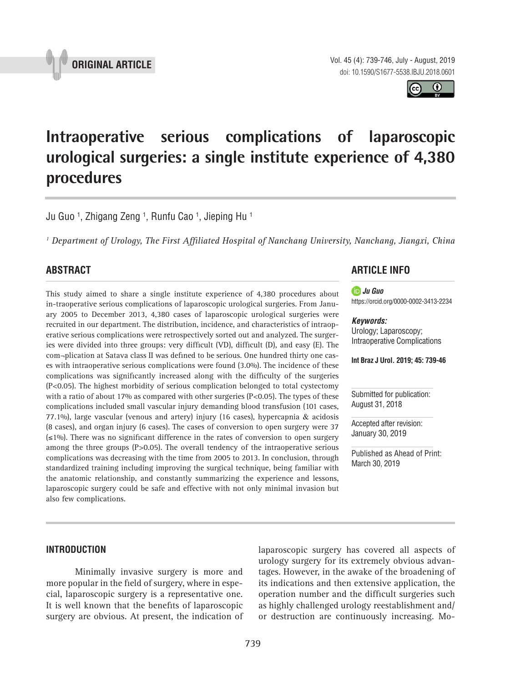

Vol. 45 (4): 739-746, July - August, 2019

doi: 10.1590/S1677-5538.IBJU.2018.0601 $\bf \Theta$ 

# **Intraoperative serious complications of laparoscopic urological surgeries: a single institute experience of 4,380 procedures \_\_\_\_\_\_\_\_\_\_\_\_\_\_\_\_\_\_\_\_\_\_\_\_\_\_\_\_\_\_\_\_\_\_\_\_\_\_\_\_\_\_\_\_\_\_\_**

Ju Guo <sup>1</sup>, Zhigang Zeng <sup>1</sup>, Runfu Cao <sup>1</sup>, Jieping Hu <sup>1</sup>

<sup>1</sup> Department of Urology, The First Affiliated Hospital of Nanchang University, Nanchang, Jiangxi, China

# **ABSTRACT**

This study aimed to share a single institute experience of 4,380 procedures about in-traoperative serious complications of laparoscopic urological surgeries. From January 2005 to December 2013, 4,380 cases of laparoscopic urological surgeries were recruited in our department. The distribution, incidence, and characteristics of intraoperative serious complications were retrospectively sorted out and analyzed. The surgeries were divided into three groups: very difficult (VD), difficult (D), and easy (E). The com-plication at Satava class II was defined to be serious. One hundred thirty one cases with intraoperative serious complications were found (3.0%). The incidence of these complications was significantly increased along with the difficulty of the surgeries (P<0.05). The highest morbidity of serious complication belonged to total cystectomy with a ratio of about 17% as compared with other surgeries (P<0.05). The types of these complications included small vascular injury demanding blood transfusion (101 cases, 77.1%), large vascular (venous and artery) injury (16 cases), hypercapnia & acidosis (8 cases), and organ injury (6 cases). The cases of conversion to open surgery were 37 (≤1%). There was no significant difference in the rates of conversion to open surgery among the three groups (P>0.05). The overall tendency of the intraoperative serious complications was decreasing with the time from 2005 to 2013. In conclusion, through standardized training including improving the surgical technique, being familiar with the anatomic relationship, and constantly summarizing the experience and lessons, laparoscopic surgery could be safe and effective with not only minimal invasion but also few complications.

# **ARTICLE INFO**

*Ju Guo*  https://orcid.org/0000-0002-3413-2234

## *Keywords:*

Urology; Laparoscopy; Intraoperative Complications

**Int Braz J Urol. 2019; 45: 739-46**

Submitted for publication: August 31, 2018

Accepted after revision: January 30, 2019

Published as Ahead of Print: March 30, 2019

# **INTRODUCTION**

Minimally invasive surgery is more and more popular in the field of surgery, where in especial, laparoscopic surgery is a representative one. It is well known that the benefits of laparoscopic surgery are obvious. At present, the indication of laparoscopic surgery has covered all aspects of urology surgery for its extremely obvious advantages. However, in the awake of the broadening of its indications and then extensive application, the operation number and the difficult surgeries such as highly challenged urology reestablishment and/ or destruction are continuously increasing. Mo-

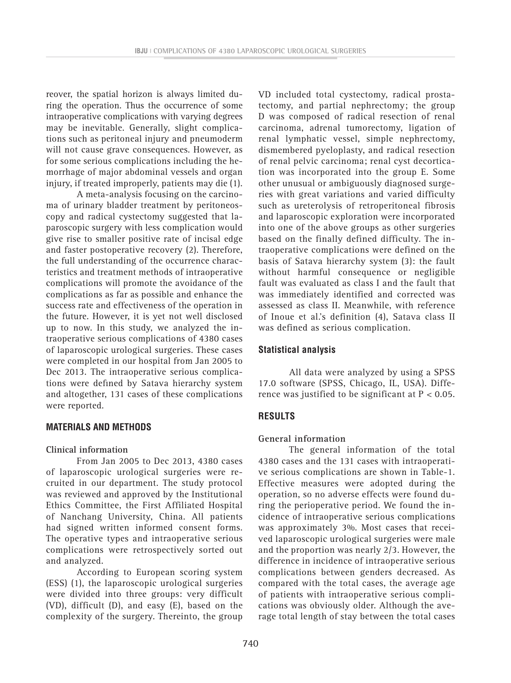reover, the spatial horizon is always limited during the operation. Thus the occurrence of some intraoperative complications with varying degrees may be inevitable. Generally, slight complications such as peritoneal injury and pneumoderm will not cause grave consequences. However, as for some serious complications including the hemorrhage of major abdominal vessels and organ injury, if treated improperly, patients may die (1).

A meta-analysis focusing on the carcinoma of urinary bladder treatment by peritoneoscopy and radical cystectomy suggested that laparoscopic surgery with less complication would give rise to smaller positive rate of incisal edge and faster postoperative recovery (2). Therefore, the full understanding of the occurrence characteristics and treatment methods of intraoperative complications will promote the avoidance of the complications as far as possible and enhance the success rate and effectiveness of the operation in the future. However, it is yet not well disclosed up to now. In this study, we analyzed the intraoperative serious complications of 4380 cases of laparoscopic urological surgeries. These cases were completed in our hospital from Jan 2005 to Dec 2013. The intraoperative serious complications were defined by Satava hierarchy system and altogether, 131 cases of these complications were reported.

# **MATERIALS AND METHODS**

#### **Clinical information**

From Jan 2005 to Dec 2013, 4380 cases of laparoscopic urological surgeries were recruited in our department. The study protocol was reviewed and approved by the Institutional Ethics Committee, the First Affiliated Hospital of Nanchang University, China. All patients had signed written informed consent forms. The operative types and intraoperative serious complications were retrospectively sorted out and analyzed.

According to European scoring system (ESS) (1), the laparoscopic urological surgeries were divided into three groups: very difficult (VD), difficult (D), and easy (E), based on the complexity of the surgery. Thereinto, the group VD included total cystectomy, radical prostatectomy, and partial nephrectomy; the group D was composed of radical resection of renal carcinoma, adrenal tumorectomy, ligation of renal lymphatic vessel, simple nephrectomy, dismembered pyeloplasty, and radical resection of renal pelvic carcinoma; renal cyst decortication was incorporated into the group E. Some other unusual or ambiguously diagnosed surgeries with great variations and varied difficulty such as ureterolysis of retroperitoneal fibrosis and laparoscopic exploration were incorporated into one of the above groups as other surgeries based on the finally defined difficulty. The intraoperative complications were defined on the basis of Satava hierarchy system (3): the fault without harmful consequence or negligible fault was evaluated as class I and the fault that was immediately identified and corrected was assessed as class II. Meanwhile, with reference of Inoue et al.'s definition (4), Satava class II was defined as serious complication.

# **Statistical analysis**

All data were analyzed by using a SPSS 17.0 software (SPSS, Chicago, IL, USA). Difference was justified to be significant at  $P < 0.05$ .

# **RESULTS**

#### **General information**

The general information of the total 4380 cases and the 131 cases with intraoperative serious complications are shown in Table-1. Effective measures were adopted during the operation, so no adverse effects were found during the perioperative period. We found the incidence of intraoperative serious complications was approximately 3%. Most cases that received laparoscopic urological surgeries were male and the proportion was nearly 2/3. However, the difference in incidence of intraoperative serious complications between genders decreased. As compared with the total cases, the average age of patients with intraoperative serious complications was obviously older. Although the average total length of stay between the total cases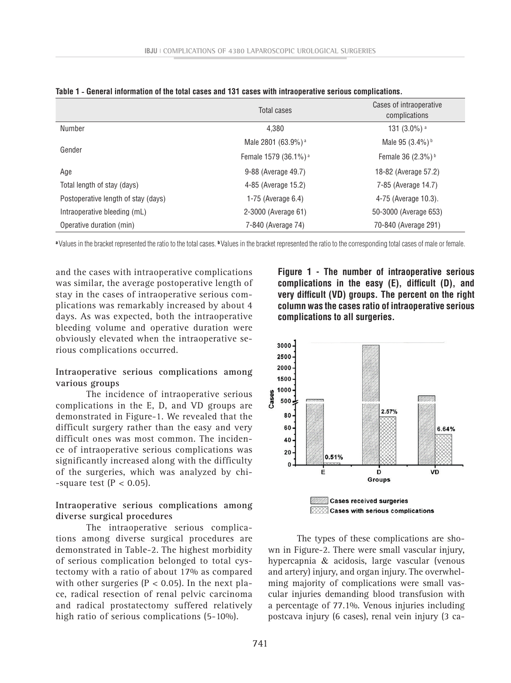|                                     | Total cases                      | Cases of intraoperative<br>complications |  |
|-------------------------------------|----------------------------------|------------------------------------------|--|
| Number                              | 4.380                            | 131 $(3.0\%)$ <sup>a</sup>               |  |
|                                     | Male 2801 (63.9%) <sup>a</sup>   | Male 95 (3.4%) b                         |  |
| Gender                              | Female 1579 (36.1%) <sup>a</sup> | Female 36 (2.3%) <sup>b</sup>            |  |
| Age                                 | 9-88 (Average 49.7)              | 18-82 (Average 57.2)                     |  |
| Total length of stay (days)         | 4-85 (Average 15.2)              | 7-85 (Average 14.7)                      |  |
| Postoperative length of stay (days) | 1-75 (Average 6.4)               | 4-75 (Average 10.3).                     |  |
| Intraoperative bleeding (mL)        | 2-3000 (Average 61)              | 50-3000 (Average 653)                    |  |
| Operative duration (min)            | 7-840 (Average 74)               | 70-840 (Average 291)                     |  |

|  |  |  |  |  |  |  |  |  | Table 1 - General information of the total cases and 131 cases with intraoperative serious complications. |
|--|--|--|--|--|--|--|--|--|-----------------------------------------------------------------------------------------------------------|
|--|--|--|--|--|--|--|--|--|-----------------------------------------------------------------------------------------------------------|

**<sup>a</sup>** Values in the bracket represented the ratio to the total cases. **<sup>b</sup>** Values in the bracket represented the ratio to the corresponding total cases of male or female.

and the cases with intraoperative complications was similar, the average postoperative length of stay in the cases of intraoperative serious complications was remarkably increased by about 4 days. As was expected, both the intraoperative bleeding volume and operative duration were obviously elevated when the intraoperative serious complications occurred.

**Intraoperative serious complications among various groups**

The incidence of intraoperative serious complications in the E, D, and VD groups are demonstrated in Figure-1. We revealed that the difficult surgery rather than the easy and very difficult ones was most common. The incidence of intraoperative serious complications was significantly increased along with the difficulty of the surgeries, which was analyzed by chi- -square test  $(P < 0.05)$ .

# **Intraoperative serious complications among diverse surgical procedures**

The intraoperative serious complications among diverse surgical procedures are demonstrated in Table-2. The highest morbidity of serious complication belonged to total cystectomy with a ratio of about 17% as compared with other surgeries ( $P < 0.05$ ). In the next place, radical resection of renal pelvic carcinoma and radical prostatectomy suffered relatively high ratio of serious complications (5-10%).

**Figure 1 - The number of intraoperative serious complications in the easy (E), difficult (D), and very difficult (VD) groups. The percent on the right column was the cases ratio of intraoperative serious complications to all surgeries.**



The types of these complications are shown in Figure-2. There were small vascular injury, hypercapnia & acidosis, large vascular (venous and artery) injury, and organ injury. The overwhelming majority of complications were small vascular injuries demanding blood transfusion with a percentage of 77.1%. Venous injuries including postcava injury (6 cases), renal vein injury (3 ca-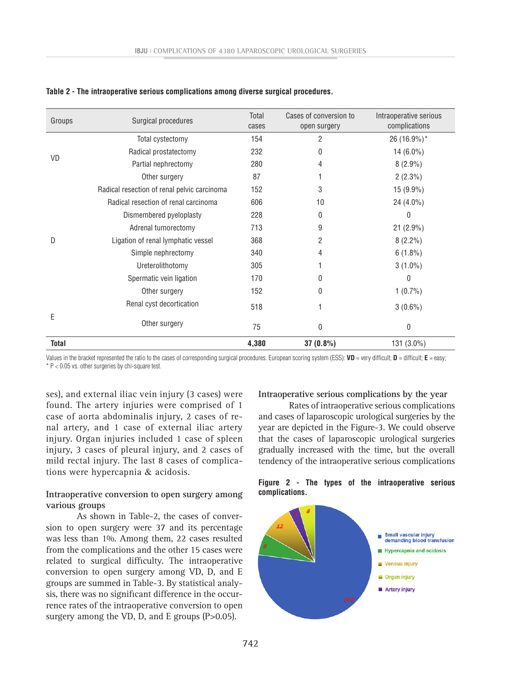| Groups       | Surgical procedures                         | Total<br>cases | Cases of conversion to<br>open surgery | Intraoperative serious<br>complications |
|--------------|---------------------------------------------|----------------|----------------------------------------|-----------------------------------------|
|              | Total cystectomy                            | 154            | 2                                      | 26 (16.9%)*                             |
| <b>VD</b>    | Radical prostatectomy                       | 232            | 0                                      | 14 $(6.0\%)$                            |
|              | Partial nephrectomy                         | 280            | 4                                      | $8(2.9\%)$                              |
|              | Other surgery                               | 87             |                                        | $2(2.3\%)$                              |
|              | Radical resection of renal pelvic carcinoma | 152            | 3                                      | 15 (9.9%)                               |
|              | Radical resection of renal carcinoma        | 606            | 10                                     | 24 (4.0%)                               |
|              | Dismembered pyeloplasty                     | 228            | 0                                      | 0                                       |
|              | Adrenal tumorectomy                         | 713            | 9                                      | 21 (2.9%)                               |
| D            | Ligation of renal lymphatic vessel          | 368            | 2                                      | $8(2.2\%)$                              |
|              | Simple nephrectomy                          | 340            | 4                                      | $6(1.8\%)$                              |
|              | Ureterolithotomy                            | 305            |                                        | $3(1.0\%)$                              |
|              | Spermatic vein ligation                     | 170            |                                        | 0                                       |
|              | Other surgery                               | 152            | 0                                      | $1(0.7\%)$                              |
| E            | Renal cyst decortication                    | 518            |                                        | $3(0.6\%)$                              |
|              | Other surgery                               | 75             | 0                                      | 0                                       |
| <b>Total</b> |                                             | 4,380          | 37 (0.8%)                              | 131 (3.0%)                              |

| Table 2 - The intraoperative serious complications among diverse surgical procedures. |  |  |  |
|---------------------------------------------------------------------------------------|--|--|--|
|                                                                                       |  |  |  |

Values in the bracket represented the ratio to the cases of corresponding surgical procedures. European scoring system (ESS):  $VD =$  very difficult;  $D =$  difficult;  $E =$  easy;  $*$  P < 0.05 vs. other surgeries by chi-square test.

ses), and external iliac vein injury (3 cases) were found. The artery injuries were comprised of 1 case of aorta abdominalis injury, 2 cases of renal artery, and 1 case of external iliac artery injury. Organ injuries included 1 case of spleen injury, 3 cases of pleural injury, and 2 cases of mild rectal injury. The last 8 cases of complications were hypercapnia & acidosis.

## **Intraoperative conversion to open surgery among various groups**

As shown in Table-2, the cases of conversion to open surgery were 37 and its percentage was less than 1%. Among them, 22 cases resulted from the complications and the other 15 cases were related to surgical difficulty. The intraoperative conversion to open surgery among VD, D, and E groups are summed in Table-3. By statistical analysis, there was no significant difference in the occurrence rates of the intraoperative conversion to open surgery among the VD, D, and E groups (P>0.05).

**Intraoperative serious complications by the year**

Rates of intraoperative serious complications and cases of laparoscopic urological surgeries by the year are depicted in the Figure-3. We could observe that the cases of laparoscopic urological surgeries gradually increased with the time, but the overall tendency of the intraoperative serious complications

#### **Figure 2 - The types of the intraoperative serious complications.**

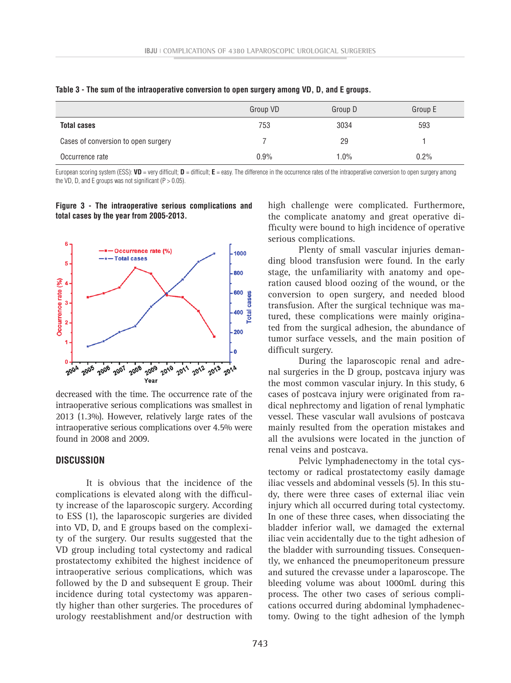|                                     | Group VD | Group D | Group E |
|-------------------------------------|----------|---------|---------|
| <b>Total cases</b>                  | 753      | 3034    | 593     |
| Cases of conversion to open surgery |          | 29      |         |
| Occurrence rate                     | $0.9\%$  | 1.0%    | 0.2%    |

**Table 3 - The sum of the intraoperative conversion to open surgery among VD, D, and E groups.**

European scoring system (ESS): **VD** = very difficult; **D** = difficult; **E** = easy. The difference in the occurrence rates of the intraoperative conversion to open surgery among the VD, D, and E groups was not significant ( $P > 0.05$ ).

#### **Figure 3 - The intraoperative serious complications and total cases by the year from 2005-2013.**



decreased with the time. The occurrence rate of the intraoperative serious complications was smallest in 2013 (1.3%). However, relatively large rates of the intraoperative serious complications over 4.5% were found in 2008 and 2009.

## **DISCUSSION**

It is obvious that the incidence of the complications is elevated along with the difficulty increase of the laparoscopic surgery. According to ESS (1), the laparoscopic surgeries are divided into VD, D, and E groups based on the complexity of the surgery. Our results suggested that the VD group including total cystectomy and radical prostatectomy exhibited the highest incidence of intraoperative serious complications, which was followed by the D and subsequent E group. Their incidence during total cystectomy was apparently higher than other surgeries. The procedures of urology reestablishment and/or destruction with high challenge were complicated. Furthermore, the complicate anatomy and great operative difficulty were bound to high incidence of operative serious complications.

Plenty of small vascular injuries demanding blood transfusion were found. In the early stage, the unfamiliarity with anatomy and operation caused blood oozing of the wound, or the conversion to open surgery, and needed blood transfusion. After the surgical technique was matured, these complications were mainly originated from the surgical adhesion, the abundance of tumor surface vessels, and the main position of difficult surgery.

During the laparoscopic renal and adrenal surgeries in the D group, postcava injury was the most common vascular injury. In this study, 6 cases of postcava injury were originated from radical nephrectomy and ligation of renal lymphatic vessel. These vascular wall avulsions of postcava mainly resulted from the operation mistakes and all the avulsions were located in the junction of renal veins and postcava.

Pelvic lymphadenectomy in the total cystectomy or radical prostatectomy easily damage iliac vessels and abdominal vessels (5). In this study, there were three cases of external iliac vein injury which all occurred during total cystectomy. In one of these three cases, when dissociating the bladder inferior wall, we damaged the external iliac vein accidentally due to the tight adhesion of the bladder with surrounding tissues. Consequently, we enhanced the pneumoperitoneum pressure and sutured the crevasse under a laparoscope. The bleeding volume was about 1000mL during this process. The other two cases of serious complications occurred during abdominal lymphadenectomy. Owing to the tight adhesion of the lymph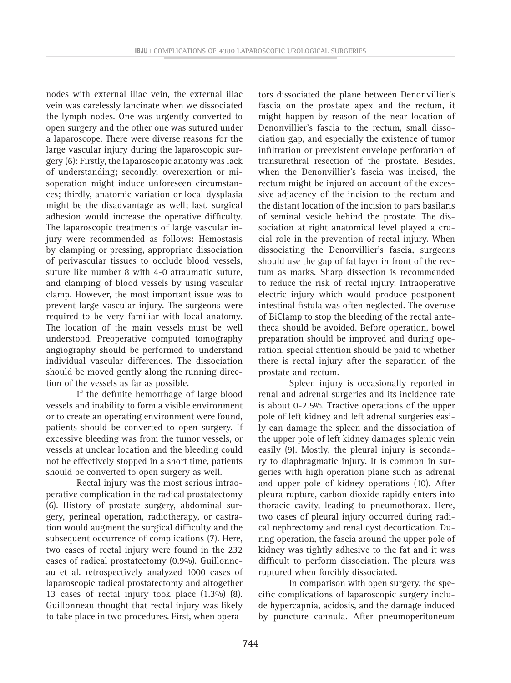nodes with external iliac vein, the external iliac vein was carelessly lancinate when we dissociated the lymph nodes. One was urgently converted to open surgery and the other one was sutured under a laparoscope. There were diverse reasons for the large vascular injury during the laparoscopic surgery (6): Firstly, the laparoscopic anatomy was lack of understanding; secondly, overexertion or misoperation might induce unforeseen circumstances; thirdly, anatomic variation or local dysplasia might be the disadvantage as well; last, surgical adhesion would increase the operative difficulty. The laparoscopic treatments of large vascular injury were recommended as follows: Hemostasis by clamping or pressing, appropriate dissociation of perivascular tissues to occlude blood vessels, suture like number 8 with 4-0 atraumatic suture, and clamping of blood vessels by using vascular clamp. However, the most important issue was to prevent large vascular injury. The surgeons were required to be very familiar with local anatomy. The location of the main vessels must be well understood. Preoperative computed tomography angiography should be performed to understand individual vascular differences. The dissociation should be moved gently along the running direction of the vessels as far as possible.

If the definite hemorrhage of large blood vessels and inability to form a visible environment or to create an operating environment were found, patients should be converted to open surgery. If excessive bleeding was from the tumor vessels, or vessels at unclear location and the bleeding could not be effectively stopped in a short time, patients should be converted to open surgery as well.

Rectal injury was the most serious intraoperative complication in the radical prostatectomy (6). History of prostate surgery, abdominal surgery, perineal operation, radiotherapy, or castration would augment the surgical difficulty and the subsequent occurrence of complications (7). Here, two cases of rectal injury were found in the 232 cases of radical prostatectomy (0.9%). Guillonneau et al. retrospectively analyzed 1000 cases of laparoscopic radical prostatectomy and altogether 13 cases of rectal injury took place (1.3%) (8). Guillonneau thought that rectal injury was likely to take place in two procedures. First, when operators dissociated the plane between Denonvillier's fascia on the prostate apex and the rectum, it might happen by reason of the near location of Denonvillier's fascia to the rectum, small dissociation gap, and especially the existence of tumor infiltration or preexistent envelope perforation of transurethral resection of the prostate. Besides, when the Denonvillier's fascia was incised, the rectum might be injured on account of the excessive adjacency of the incision to the rectum and the distant location of the incision to pars basilaris of seminal vesicle behind the prostate. The dissociation at right anatomical level played a crucial role in the prevention of rectal injury. When dissociating the Denonvillier's fascia, surgeons should use the gap of fat layer in front of the rectum as marks. Sharp dissection is recommended to reduce the risk of rectal injury. Intraoperative electric injury which would produce postponent intestinal fistula was often neglected. The overuse of BiClamp to stop the bleeding of the rectal antetheca should be avoided. Before operation, bowel preparation should be improved and during operation, special attention should be paid to whether there is rectal injury after the separation of the prostate and rectum.

Spleen injury is occasionally reported in renal and adrenal surgeries and its incidence rate is about 0-2.5%. Tractive operations of the upper pole of left kidney and left adrenal surgeries easily can damage the spleen and the dissociation of the upper pole of left kidney damages splenic vein easily (9). Mostly, the pleural injury is secondary to diaphragmatic injury. It is common in surgeries with high operation plane such as adrenal and upper pole of kidney operations (10). After pleura rupture, carbon dioxide rapidly enters into thoracic cavity, leading to pneumothorax. Here, two cases of pleural injury occurred during radical nephrectomy and renal cyst decortication. During operation, the fascia around the upper pole of kidney was tightly adhesive to the fat and it was difficult to perform dissociation. The pleura was ruptured when forcibly dissociated.

In comparison with open surgery, the specific complications of laparoscopic surgery include hypercapnia, acidosis, and the damage induced by puncture cannula. After pneumoperitoneum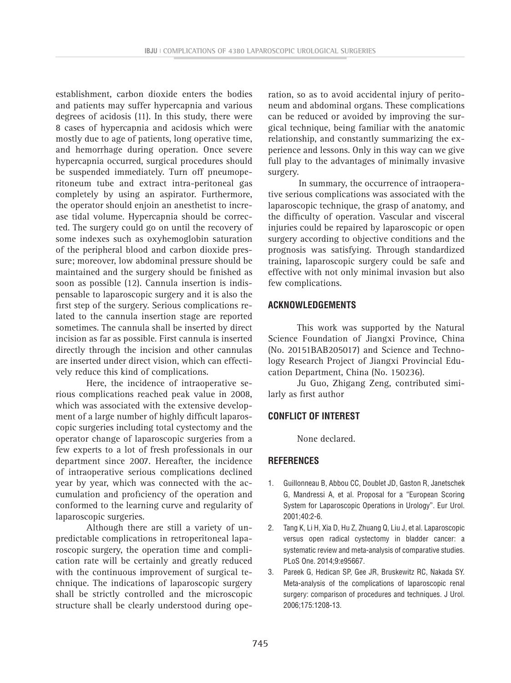establishment, carbon dioxide enters the bodies and patients may suffer hypercapnia and various degrees of acidosis (11). In this study, there were 8 cases of hypercapnia and acidosis which were mostly due to age of patients, long operative time, and hemorrhage during operation. Once severe hypercapnia occurred, surgical procedures should be suspended immediately. Turn off pneumoperitoneum tube and extract intra-peritoneal gas completely by using an aspirator. Furthermore, the operator should enjoin an anesthetist to increase tidal volume. Hypercapnia should be corrected. The surgery could go on until the recovery of some indexes such as oxyhemoglobin saturation of the peripheral blood and carbon dioxide pressure; moreover, low abdominal pressure should be maintained and the surgery should be finished as soon as possible (12). Cannula insertion is indispensable to laparoscopic surgery and it is also the first step of the surgery. Serious complications related to the cannula insertion stage are reported sometimes. The cannula shall be inserted by direct incision as far as possible. First cannula is inserted directly through the incision and other cannulas are inserted under direct vision, which can effectively reduce this kind of complications.

Here, the incidence of intraoperative serious complications reached peak value in 2008, which was associated with the extensive development of a large number of highly difficult laparoscopic surgeries including total cystectomy and the operator change of laparoscopic surgeries from a few experts to a lot of fresh professionals in our department since 2007. Hereafter, the incidence of intraoperative serious complications declined year by year, which was connected with the accumulation and proficiency of the operation and conformed to the learning curve and regularity of laparoscopic surgeries.

Although there are still a variety of unpredictable complications in retroperitoneal laparoscopic surgery, the operation time and complication rate will be certainly and greatly reduced with the continuous improvement of surgical technique. The indications of laparoscopic surgery shall be strictly controlled and the microscopic structure shall be clearly understood during ope-

ration, so as to avoid accidental injury of peritoneum and abdominal organs. These complications can be reduced or avoided by improving the surgical technique, being familiar with the anatomic relationship, and constantly summarizing the experience and lessons. Only in this way can we give full play to the advantages of minimally invasive surgery.

In summary, the occurrence of intraoperative serious complications was associated with the laparoscopic technique, the grasp of anatomy, and the difficulty of operation. Vascular and visceral injuries could be repaired by laparoscopic or open surgery according to objective conditions and the prognosis was satisfying. Through standardized training, laparoscopic surgery could be safe and effective with not only minimal invasion but also few complications.

# **ACKNOWLEDGEMENTS**

This work was supported by the Natural Science Foundation of Jiangxi Province, China (No. 20151BAB205017) and Science and Technology Research Project of Jiangxi Provincial Education Department, China (No. 150236).

Ju Guo, Zhigang Zeng, contributed similarly as first author

# **CONFLICT OF INTEREST**

None declared.

# **REFERENCES**

- 1. Guillonneau B, Abbou CC, Doublet JD, Gaston R, Janetschek G, Mandressi A, et al. Proposal for a "European Scoring System for Laparoscopic Operations in Urology". Eur Urol. 2001;40:2-6.
- 2. Tang K, Li H, Xia D, Hu Z, Zhuang Q, Liu J, et al. Laparoscopic versus open radical cystectomy in bladder cancer: a systematic review and meta-analysis of comparative studies. PLoS One. 2014;9:e95667.
- 3. Pareek G, Hedican SP, Gee JR, Bruskewitz RC, Nakada SY. Meta-analysis of the complications of laparoscopic renal surgery: comparison of procedures and techniques. J Urol. 2006;175:1208-13.